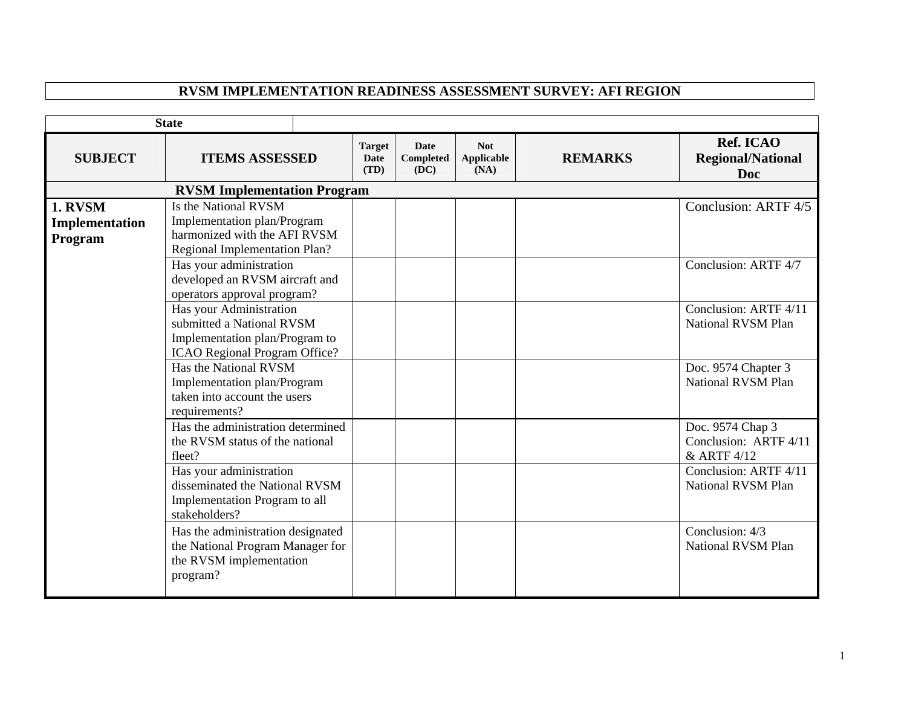## **RVSM IMPLEMENTATION READINESS ASSESSMENT SURVEY: AFI REGION**

|                                      | <b>State</b>                                                                                                                                                                                                                                                                                                                                                                                                                                                                                     |                                      |                                         |                                  |                |                                                                                                                                                                            |
|--------------------------------------|--------------------------------------------------------------------------------------------------------------------------------------------------------------------------------------------------------------------------------------------------------------------------------------------------------------------------------------------------------------------------------------------------------------------------------------------------------------------------------------------------|--------------------------------------|-----------------------------------------|----------------------------------|----------------|----------------------------------------------------------------------------------------------------------------------------------------------------------------------------|
| <b>SUBJECT</b>                       | <b>ITEMS ASSESSED</b>                                                                                                                                                                                                                                                                                                                                                                                                                                                                            | <b>Target</b><br><b>Date</b><br>(TD) | <b>Date</b><br><b>Completed</b><br>(DC) | <b>Not</b><br>Applicable<br>(NA) | <b>REMARKS</b> | Ref. ICAO<br><b>Regional/National</b><br><b>Doc</b>                                                                                                                        |
|                                      | <b>RVSM Implementation Program</b>                                                                                                                                                                                                                                                                                                                                                                                                                                                               |                                      |                                         |                                  |                |                                                                                                                                                                            |
| 1. RVSM<br>Implementation<br>Program | Is the National RVSM<br>Implementation plan/Program<br>harmonized with the AFI RVSM<br><b>Regional Implementation Plan?</b><br>Has your administration<br>developed an RVSM aircraft and<br>operators approval program?<br>Has your Administration<br>submitted a National RVSM<br>Implementation plan/Program to<br>ICAO Regional Program Office?<br>Has the National RVSM<br>Implementation plan/Program<br>taken into account the users<br>requirements?<br>Has the administration determined |                                      |                                         |                                  |                | Conclusion: ARTF 4/5<br>Conclusion: ARTF 4/7<br>Conclusion: ARTF 4/11<br><b>National RVSM Plan</b><br>Doc. 9574 Chapter 3<br><b>National RVSM Plan</b><br>Doc. 9574 Chap 3 |
|                                      | the RVSM status of the national<br>fleet?<br>Has your administration<br>disseminated the National RVSM<br>Implementation Program to all<br>stakeholders?<br>Has the administration designated<br>the National Program Manager for<br>the RVSM implementation<br>program?                                                                                                                                                                                                                         |                                      |                                         |                                  |                | Conclusion: ARTF 4/11<br>& ARTF 4/12<br>Conclusion: ARTF 4/11<br><b>National RVSM Plan</b><br>Conclusion: 4/3<br><b>National RVSM Plan</b>                                 |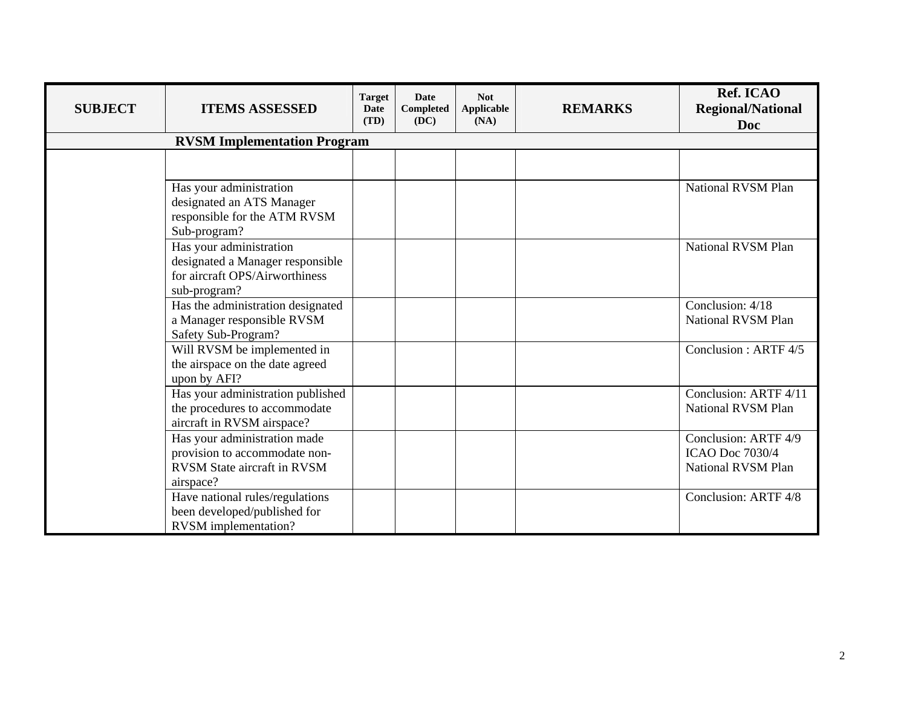| <b>SUBJECT</b> | <b>ITEMS ASSESSED</b>                                                                                            | <b>Target</b><br><b>Date</b><br>(TD) | Date<br><b>Completed</b><br>(DC) | <b>Not</b><br>Applicable<br>(NA) | <b>REMARKS</b> | Ref. ICAO<br><b>Regional/National</b><br><b>Doc</b>                  |
|----------------|------------------------------------------------------------------------------------------------------------------|--------------------------------------|----------------------------------|----------------------------------|----------------|----------------------------------------------------------------------|
|                | <b>RVSM Implementation Program</b>                                                                               |                                      |                                  |                                  |                |                                                                      |
|                |                                                                                                                  |                                      |                                  |                                  |                |                                                                      |
|                | Has your administration<br>designated an ATS Manager<br>responsible for the ATM RVSM<br>Sub-program?             |                                      |                                  |                                  |                | National RVSM Plan                                                   |
|                | Has your administration<br>designated a Manager responsible<br>for aircraft OPS/Airworthiness<br>sub-program?    |                                      |                                  |                                  |                | National RVSM Plan                                                   |
|                | Has the administration designated<br>a Manager responsible RVSM<br>Safety Sub-Program?                           |                                      |                                  |                                  |                | Conclusion: 4/18<br>National RVSM Plan                               |
|                | Will RVSM be implemented in<br>the airspace on the date agreed<br>upon by AFI?                                   |                                      |                                  |                                  |                | Conclusion: ARTF 4/5                                                 |
|                | Has your administration published<br>the procedures to accommodate<br>aircraft in RVSM airspace?                 |                                      |                                  |                                  |                | Conclusion: ARTF 4/11<br><b>National RVSM Plan</b>                   |
|                | Has your administration made<br>provision to accommodate non-<br><b>RVSM</b> State aircraft in RVSM<br>airspace? |                                      |                                  |                                  |                | Conclusion: ARTF 4/9<br><b>ICAO Doc 7030/4</b><br>National RVSM Plan |
|                | Have national rules/regulations<br>been developed/published for<br><b>RVSM</b> implementation?                   |                                      |                                  |                                  |                | Conclusion: ARTF 4/8                                                 |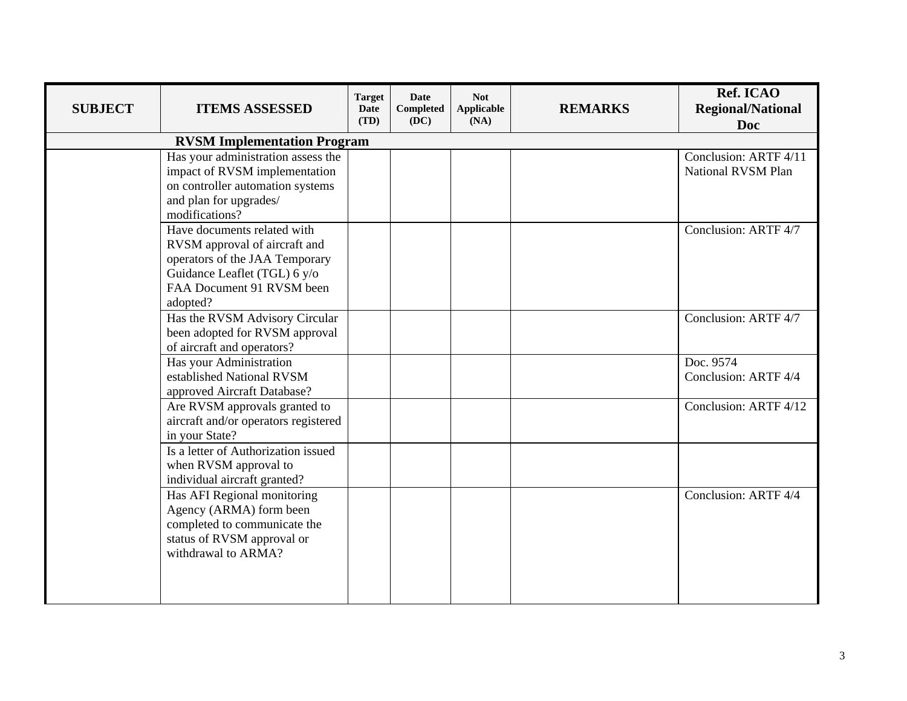| <b>SUBJECT</b> | <b>ITEMS ASSESSED</b>                                                                                                                                                   | <b>Target</b><br><b>Date</b><br>(TD) | <b>Date</b><br><b>Completed</b><br>(DC) | <b>Not</b><br>Applicable<br>(NA) | <b>REMARKS</b> | Ref. ICAO<br><b>Regional/National</b><br><b>Doc</b> |
|----------------|-------------------------------------------------------------------------------------------------------------------------------------------------------------------------|--------------------------------------|-----------------------------------------|----------------------------------|----------------|-----------------------------------------------------|
|                | <b>RVSM Implementation Program</b>                                                                                                                                      |                                      |                                         |                                  |                |                                                     |
|                | Has your administration assess the<br>impact of RVSM implementation<br>on controller automation systems<br>and plan for upgrades/<br>modifications?                     |                                      |                                         |                                  |                | Conclusion: ARTF 4/11<br><b>National RVSM Plan</b>  |
|                | Have documents related with<br>RVSM approval of aircraft and<br>operators of the JAA Temporary<br>Guidance Leaflet (TGL) 6 y/o<br>FAA Document 91 RVSM been<br>adopted? |                                      |                                         |                                  |                | Conclusion: ARTF 4/7                                |
|                | Has the RVSM Advisory Circular<br>been adopted for RVSM approval<br>of aircraft and operators?                                                                          |                                      |                                         |                                  |                | Conclusion: ARTF 4/7                                |
|                | Has your Administration<br>established National RVSM<br>approved Aircraft Database?                                                                                     |                                      |                                         |                                  |                | Doc. 9574<br>Conclusion: ARTF 4/4                   |
|                | Are RVSM approvals granted to<br>aircraft and/or operators registered<br>in your State?                                                                                 |                                      |                                         |                                  |                | Conclusion: ARTF 4/12                               |
|                | Is a letter of Authorization issued<br>when RVSM approval to<br>individual aircraft granted?                                                                            |                                      |                                         |                                  |                |                                                     |
|                | Has AFI Regional monitoring<br>Agency (ARMA) form been<br>completed to communicate the<br>status of RVSM approval or<br>withdrawal to ARMA?                             |                                      |                                         |                                  |                | Conclusion: ARTF 4/4                                |
|                |                                                                                                                                                                         |                                      |                                         |                                  |                |                                                     |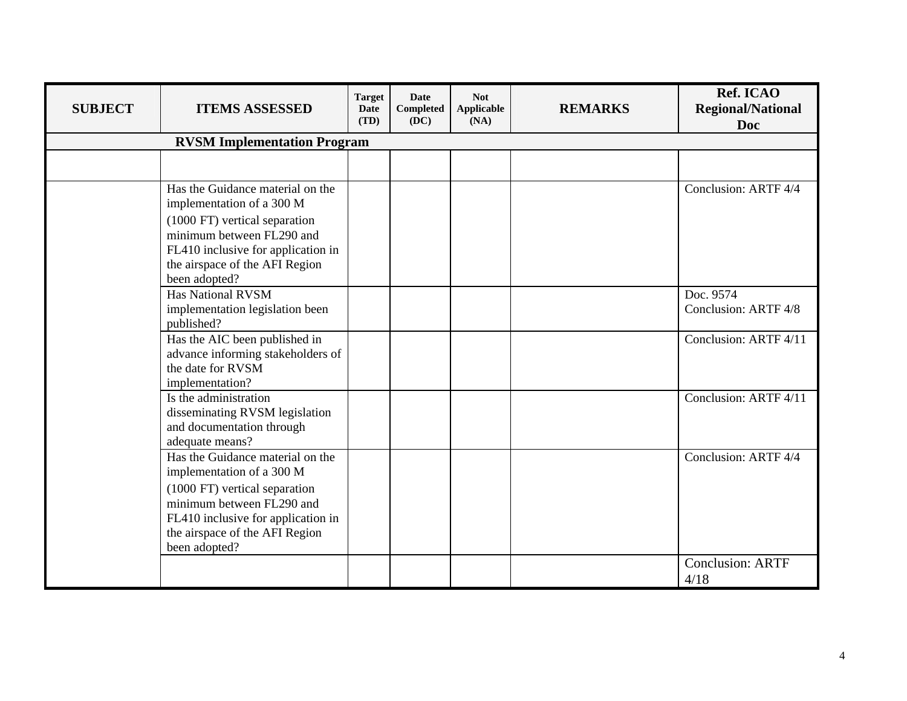| <b>SUBJECT</b> | <b>ITEMS ASSESSED</b>                                                                                                                                                                                                | <b>Target</b><br><b>Date</b><br>(TD) | <b>Date</b><br><b>Completed</b><br>(DC) | <b>Not</b><br>Applicable<br>(NA) | <b>REMARKS</b> | Ref. ICAO<br><b>Regional/National</b><br><b>Doc</b> |
|----------------|----------------------------------------------------------------------------------------------------------------------------------------------------------------------------------------------------------------------|--------------------------------------|-----------------------------------------|----------------------------------|----------------|-----------------------------------------------------|
|                | <b>RVSM Implementation Program</b>                                                                                                                                                                                   |                                      |                                         |                                  |                |                                                     |
|                |                                                                                                                                                                                                                      |                                      |                                         |                                  |                |                                                     |
|                | Has the Guidance material on the<br>implementation of a 300 M<br>(1000 FT) vertical separation<br>minimum between FL290 and<br>FL410 inclusive for application in<br>the airspace of the AFI Region<br>been adopted? |                                      |                                         |                                  |                | Conclusion: ARTF 4/4                                |
|                | <b>Has National RVSM</b><br>implementation legislation been<br>published?                                                                                                                                            |                                      |                                         |                                  |                | Doc. 9574<br>Conclusion: ARTF 4/8                   |
|                | Has the AIC been published in<br>advance informing stakeholders of<br>the date for RVSM<br>implementation?                                                                                                           |                                      |                                         |                                  |                | Conclusion: ARTF 4/11                               |
|                | Is the administration<br>disseminating RVSM legislation<br>and documentation through<br>adequate means?                                                                                                              |                                      |                                         |                                  |                | Conclusion: ARTF 4/11                               |
|                | Has the Guidance material on the<br>implementation of a 300 M<br>(1000 FT) vertical separation<br>minimum between FL290 and<br>FL410 inclusive for application in<br>the airspace of the AFI Region<br>been adopted? |                                      |                                         |                                  |                | Conclusion: ARTF 4/4                                |
|                |                                                                                                                                                                                                                      |                                      |                                         |                                  |                | <b>Conclusion: ARTF</b><br>4/18                     |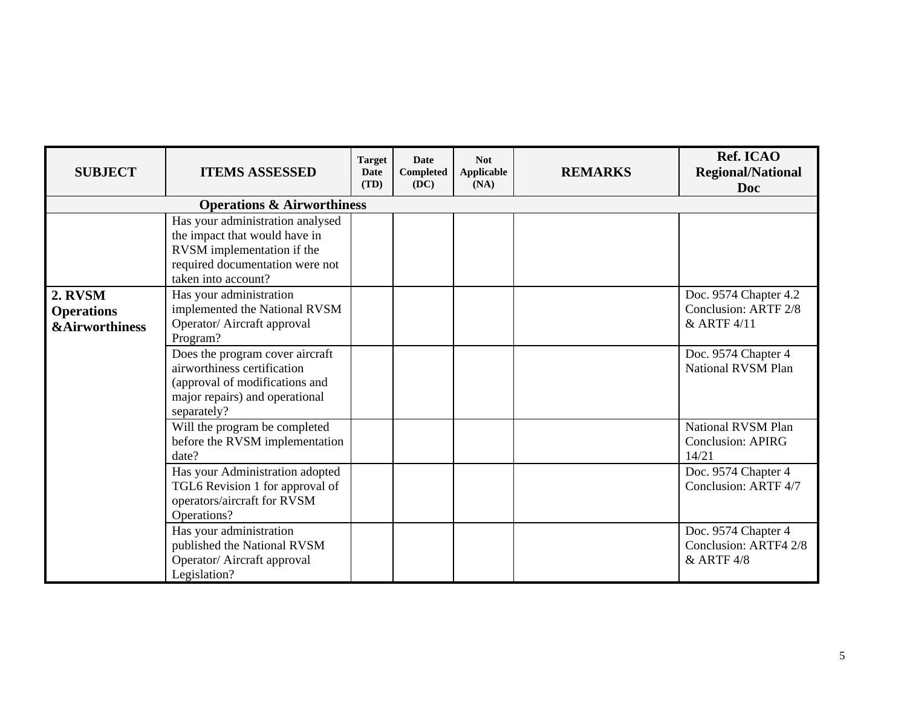| <b>SUBJECT</b>                                            | <b>ITEMS ASSESSED</b>                                                                                                                                                                                                                                                                                 | <b>Target</b><br><b>Date</b><br>(TD) | <b>Date</b><br>Completed<br>(DC) | <b>Not</b><br>Applicable<br>(NA) | <b>REMARKS</b> | Ref. ICAO<br><b>Regional/National</b><br><b>Doc</b>                                                                                                                         |  |  |  |  |
|-----------------------------------------------------------|-------------------------------------------------------------------------------------------------------------------------------------------------------------------------------------------------------------------------------------------------------------------------------------------------------|--------------------------------------|----------------------------------|----------------------------------|----------------|-----------------------------------------------------------------------------------------------------------------------------------------------------------------------------|--|--|--|--|
| <b>Operations &amp; Airworthiness</b>                     |                                                                                                                                                                                                                                                                                                       |                                      |                                  |                                  |                |                                                                                                                                                                             |  |  |  |  |
|                                                           | Has your administration analysed<br>the impact that would have in<br>RVSM implementation if the<br>required documentation were not<br>taken into account?                                                                                                                                             |                                      |                                  |                                  |                |                                                                                                                                                                             |  |  |  |  |
| 2. RVSM<br><b>Operations</b><br><b>&amp;Airworthiness</b> | Has your administration<br>implemented the National RVSM<br>Operator/ Aircraft approval<br>Program?<br>Does the program cover aircraft<br>airworthiness certification<br>(approval of modifications and<br>major repairs) and operational<br>separately?                                              |                                      |                                  |                                  |                | Doc. 9574 Chapter 4.2<br>Conclusion: ARTF 2/8<br>& ARTF 4/11<br>Doc. 9574 Chapter 4<br><b>National RVSM Plan</b>                                                            |  |  |  |  |
|                                                           | Will the program be completed<br>before the RVSM implementation<br>date?<br>Has your Administration adopted<br>TGL6 Revision 1 for approval of<br>operators/aircraft for RVSM<br>Operations?<br>Has your administration<br>published the National RVSM<br>Operator/ Aircraft approval<br>Legislation? |                                      |                                  |                                  |                | <b>National RVSM Plan</b><br><b>Conclusion: APIRG</b><br>14/21<br>Doc. 9574 Chapter 4<br>Conclusion: ARTF 4/7<br>Doc. 9574 Chapter 4<br>Conclusion: ARTF4 2/8<br>& ARTF 4/8 |  |  |  |  |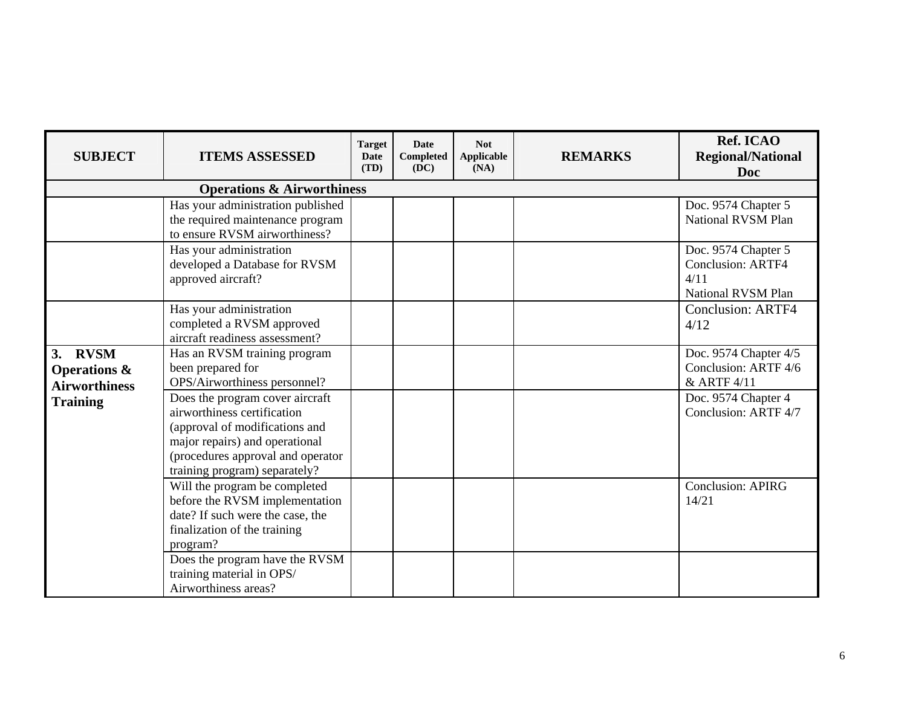| <b>SUBJECT</b>                                             | <b>ITEMS ASSESSED</b>                                                                                                                                                                                    | <b>Target</b><br><b>Date</b><br>(TD) | Date<br>Completed<br>(DC) | <b>Not</b><br>Applicable<br>(NA) | <b>REMARKS</b> | Ref. ICAO<br><b>Regional/National</b><br><b>Doc</b>                                  |  |  |  |  |
|------------------------------------------------------------|----------------------------------------------------------------------------------------------------------------------------------------------------------------------------------------------------------|--------------------------------------|---------------------------|----------------------------------|----------------|--------------------------------------------------------------------------------------|--|--|--|--|
| <b>Operations &amp; Airworthiness</b>                      |                                                                                                                                                                                                          |                                      |                           |                                  |                |                                                                                      |  |  |  |  |
|                                                            | Has your administration published<br>the required maintenance program<br>to ensure RVSM airworthiness?                                                                                                   |                                      |                           |                                  |                | Doc. 9574 Chapter 5<br>National RVSM Plan                                            |  |  |  |  |
|                                                            | Has your administration<br>developed a Database for RVSM<br>approved aircraft?                                                                                                                           |                                      |                           |                                  |                | Doc. 9574 Chapter 5<br><b>Conclusion: ARTF4</b><br>4/11<br><b>National RVSM Plan</b> |  |  |  |  |
|                                                            | Has your administration<br>completed a RVSM approved<br>aircraft readiness assessment?                                                                                                                   |                                      |                           |                                  |                | <b>Conclusion: ARTF4</b><br>4/12                                                     |  |  |  |  |
| 3. RVSM<br><b>Operations &amp;</b><br><b>Airworthiness</b> | Has an RVSM training program<br>been prepared for<br>OPS/Airworthiness personnel?                                                                                                                        |                                      |                           |                                  |                | Doc. 9574 Chapter 4/5<br>Conclusion: ARTF 4/6<br>& ARTF 4/11                         |  |  |  |  |
| <b>Training</b>                                            | Does the program cover aircraft<br>airworthiness certification<br>(approval of modifications and<br>major repairs) and operational<br>(procedures approval and operator<br>training program) separately? |                                      |                           |                                  |                | Doc. 9574 Chapter 4<br>Conclusion: ARTF 4/7                                          |  |  |  |  |
|                                                            | Will the program be completed<br>before the RVSM implementation<br>date? If such were the case, the<br>finalization of the training<br>program?                                                          |                                      |                           |                                  |                | <b>Conclusion: APIRG</b><br>14/21                                                    |  |  |  |  |
|                                                            | Does the program have the RVSM<br>training material in OPS/<br>Airworthiness areas?                                                                                                                      |                                      |                           |                                  |                |                                                                                      |  |  |  |  |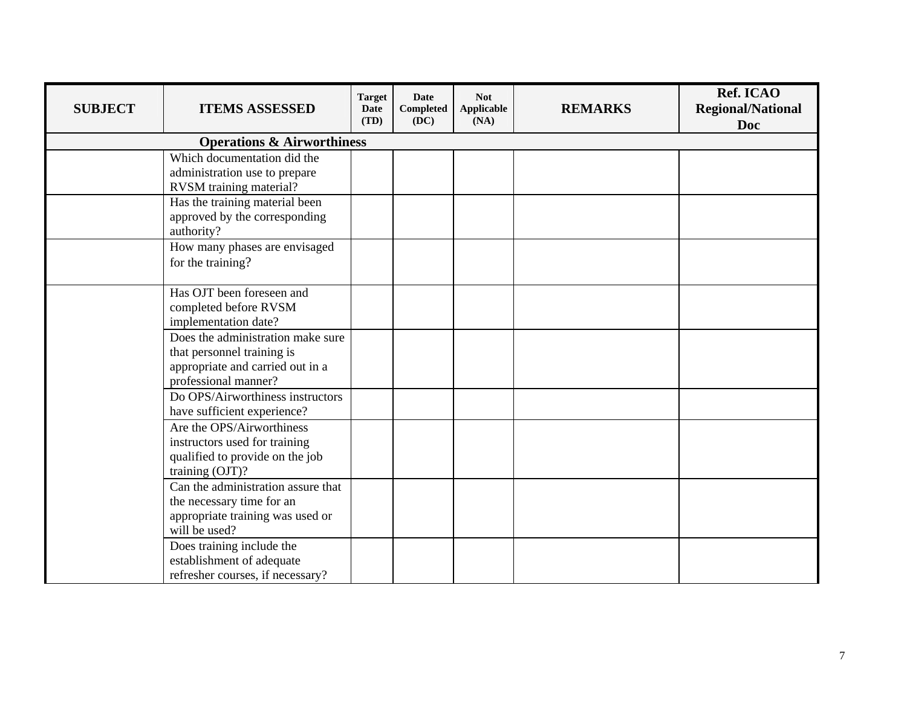| <b>SUBJECT</b> | <b>ITEMS ASSESSED</b>                                                                                                       | <b>Target</b><br><b>Date</b><br>(TD) | Date<br><b>Completed</b><br>(DC) | <b>Not</b><br><b>Applicable</b><br>(NA) | <b>REMARKS</b> | Ref. ICAO<br><b>Regional/National</b><br><b>Doc</b> |
|----------------|-----------------------------------------------------------------------------------------------------------------------------|--------------------------------------|----------------------------------|-----------------------------------------|----------------|-----------------------------------------------------|
|                | <b>Operations &amp; Airworthiness</b>                                                                                       |                                      |                                  |                                         |                |                                                     |
|                | Which documentation did the<br>administration use to prepare<br>RVSM training material?                                     |                                      |                                  |                                         |                |                                                     |
|                | Has the training material been<br>approved by the corresponding<br>authority?                                               |                                      |                                  |                                         |                |                                                     |
|                | How many phases are envisaged<br>for the training?                                                                          |                                      |                                  |                                         |                |                                                     |
|                | Has OJT been foreseen and<br>completed before RVSM<br>implementation date?                                                  |                                      |                                  |                                         |                |                                                     |
|                | Does the administration make sure<br>that personnel training is<br>appropriate and carried out in a<br>professional manner? |                                      |                                  |                                         |                |                                                     |
|                | Do OPS/Airworthiness instructors<br>have sufficient experience?                                                             |                                      |                                  |                                         |                |                                                     |
|                | Are the OPS/Airworthiness<br>instructors used for training<br>qualified to provide on the job<br>training (OJT)?            |                                      |                                  |                                         |                |                                                     |
|                | Can the administration assure that<br>the necessary time for an<br>appropriate training was used or<br>will be used?        |                                      |                                  |                                         |                |                                                     |
|                | Does training include the<br>establishment of adequate<br>refresher courses, if necessary?                                  |                                      |                                  |                                         |                |                                                     |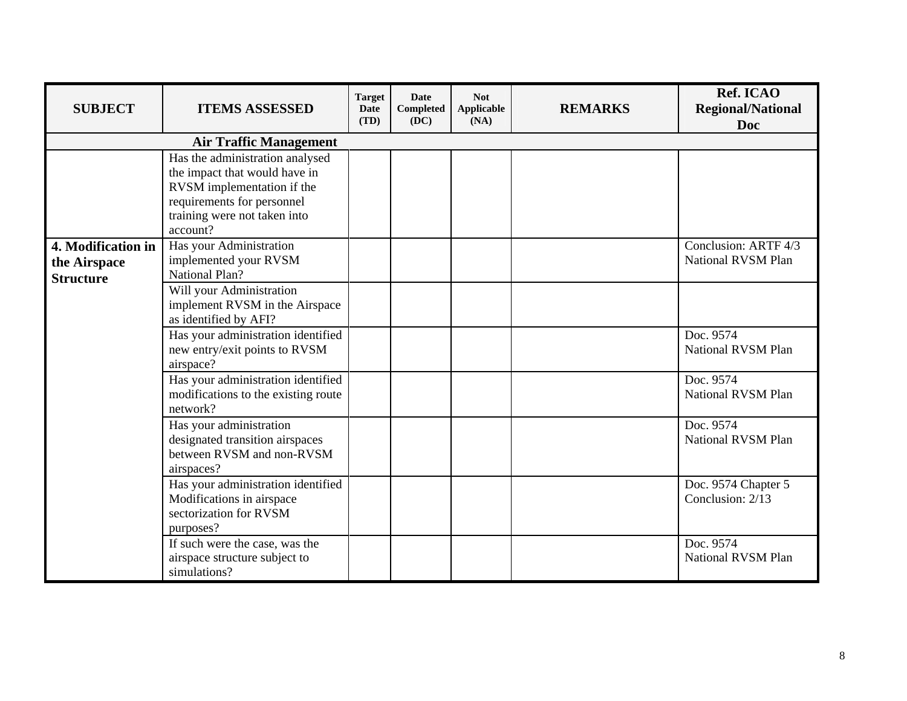| <b>SUBJECT</b>                                         | <b>ITEMS ASSESSED</b>                                                                                                                                                    | <b>Target</b><br>Date<br>(TD) | <b>Date</b><br>Completed<br>(DC) | <b>Not</b><br><b>Applicable</b><br>(NA) | <b>REMARKS</b> | Ref. ICAO<br><b>Regional/National</b><br>Doc |
|--------------------------------------------------------|--------------------------------------------------------------------------------------------------------------------------------------------------------------------------|-------------------------------|----------------------------------|-----------------------------------------|----------------|----------------------------------------------|
|                                                        | <b>Air Traffic Management</b>                                                                                                                                            |                               |                                  |                                         |                |                                              |
|                                                        | Has the administration analysed<br>the impact that would have in<br>RVSM implementation if the<br>requirements for personnel<br>training were not taken into<br>account? |                               |                                  |                                         |                |                                              |
| 4. Modification in<br>the Airspace<br><b>Structure</b> | Has your Administration<br>implemented your RVSM<br><b>National Plan?</b>                                                                                                |                               |                                  |                                         |                | Conclusion: ARTF 4/3<br>National RVSM Plan   |
|                                                        | Will your Administration<br>implement RVSM in the Airspace<br>as identified by AFI?                                                                                      |                               |                                  |                                         |                |                                              |
|                                                        | Has your administration identified<br>new entry/exit points to RVSM<br>airspace?                                                                                         |                               |                                  |                                         |                | Doc. 9574<br>National RVSM Plan              |
|                                                        | Has your administration identified<br>modifications to the existing route<br>network?                                                                                    |                               |                                  |                                         |                | Doc. 9574<br>National RVSM Plan              |
|                                                        | Has your administration<br>designated transition airspaces<br>between RVSM and non-RVSM<br>airspaces?                                                                    |                               |                                  |                                         |                | Doc. 9574<br>National RVSM Plan              |
|                                                        | Has your administration identified<br>Modifications in airspace<br>sectorization for RVSM<br>purposes?                                                                   |                               |                                  |                                         |                | Doc. 9574 Chapter 5<br>Conclusion: 2/13      |
|                                                        | If such were the case, was the<br>airspace structure subject to<br>simulations?                                                                                          |                               |                                  |                                         |                | Doc. 9574<br><b>National RVSM Plan</b>       |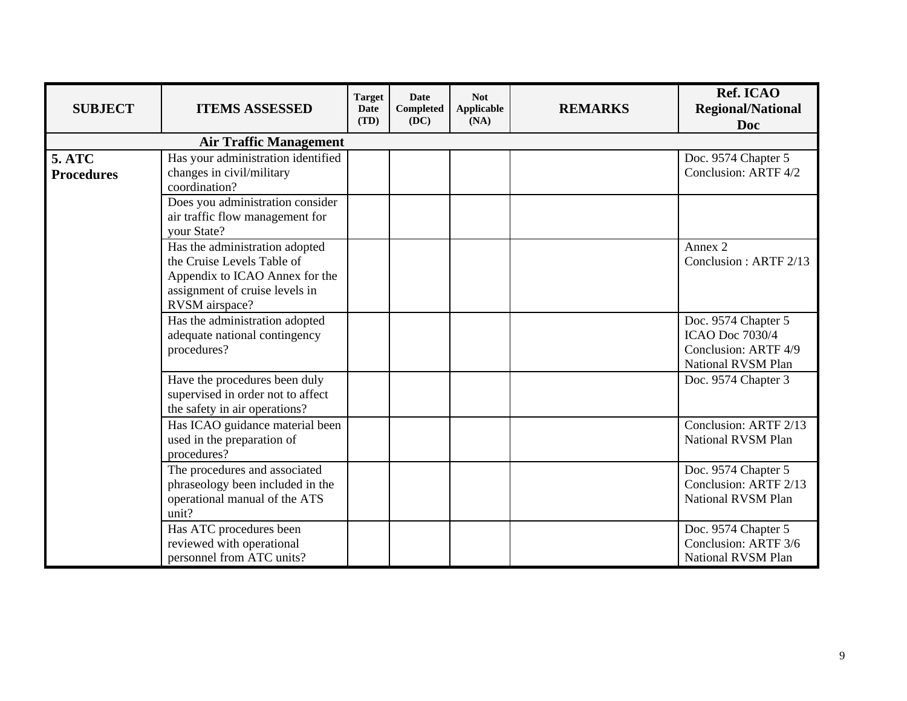| <b>SUBJECT</b>                     | <b>ITEMS ASSESSED</b>                                                                                                                              | <b>Target</b><br><b>Date</b><br>(TD) | Date<br><b>Completed</b><br>(DC) | <b>Not</b><br>Applicable<br>(NA) | <b>REMARKS</b> | Ref. ICAO<br><b>Regional/National</b><br>Doc                                                |
|------------------------------------|----------------------------------------------------------------------------------------------------------------------------------------------------|--------------------------------------|----------------------------------|----------------------------------|----------------|---------------------------------------------------------------------------------------------|
|                                    | <b>Air Traffic Management</b>                                                                                                                      |                                      |                                  |                                  |                |                                                                                             |
| <b>5. ATC</b><br><b>Procedures</b> | Has your administration identified<br>changes in civil/military<br>coordination?                                                                   |                                      |                                  |                                  |                | Doc. 9574 Chapter 5<br>Conclusion: ARTF 4/2                                                 |
|                                    | Does you administration consider<br>air traffic flow management for<br>your State?                                                                 |                                      |                                  |                                  |                |                                                                                             |
|                                    | Has the administration adopted<br>the Cruise Levels Table of<br>Appendix to ICAO Annex for the<br>assignment of cruise levels in<br>RVSM airspace? |                                      |                                  |                                  |                | Annex 2<br>Conclusion: ARTF 2/13                                                            |
|                                    | Has the administration adopted<br>adequate national contingency<br>procedures?                                                                     |                                      |                                  |                                  |                | Doc. 9574 Chapter 5<br><b>ICAO Doc 7030/4</b><br>Conclusion: ARTF 4/9<br>National RVSM Plan |
|                                    | Have the procedures been duly<br>supervised in order not to affect<br>the safety in air operations?                                                |                                      |                                  |                                  |                | Doc. 9574 Chapter 3                                                                         |
|                                    | Has ICAO guidance material been<br>used in the preparation of<br>procedures?                                                                       |                                      |                                  |                                  |                | Conclusion: ARTF 2/13<br><b>National RVSM Plan</b>                                          |
|                                    | The procedures and associated<br>phraseology been included in the<br>operational manual of the ATS<br>unit?                                        |                                      |                                  |                                  |                | Doc. 9574 Chapter 5<br>Conclusion: ARTF 2/13<br>National RVSM Plan                          |
|                                    | Has ATC procedures been<br>reviewed with operational<br>personnel from ATC units?                                                                  |                                      |                                  |                                  |                | Doc. 9574 Chapter 5<br>Conclusion: ARTF 3/6<br><b>National RVSM Plan</b>                    |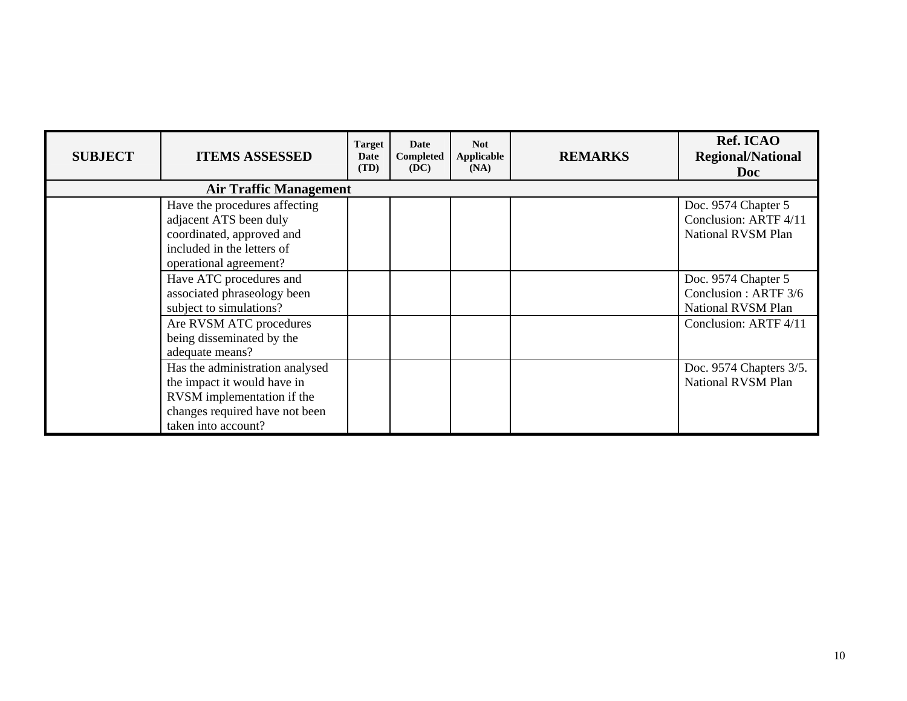| <b>SUBJECT</b> | <b>ITEMS ASSESSED</b>                                                                                                                                 | <b>Target</b><br>Date<br>(TD) | Date<br>Completed<br>(DC) | <b>Not</b><br><b>Applicable</b><br>(NA) | <b>REMARKS</b> | Ref. ICAO<br><b>Regional/National</b><br><b>Doc</b>                |  |  |  |  |
|----------------|-------------------------------------------------------------------------------------------------------------------------------------------------------|-------------------------------|---------------------------|-----------------------------------------|----------------|--------------------------------------------------------------------|--|--|--|--|
|                | <b>Air Traffic Management</b>                                                                                                                         |                               |                           |                                         |                |                                                                    |  |  |  |  |
|                | Have the procedures affecting<br>adjacent ATS been duly<br>coordinated, approved and<br>included in the letters of<br>operational agreement?          |                               |                           |                                         |                | Doc. 9574 Chapter 5<br>Conclusion: ARTF 4/11<br>National RVSM Plan |  |  |  |  |
|                | Have ATC procedures and<br>associated phraseology been<br>subject to simulations?                                                                     |                               |                           |                                         |                | Doc. 9574 Chapter 5<br>Conclusion: ARTF 3/6<br>National RVSM Plan  |  |  |  |  |
|                | Are RVSM ATC procedures<br>being disseminated by the<br>adequate means?                                                                               |                               |                           |                                         |                | Conclusion: ARTF 4/11                                              |  |  |  |  |
|                | Has the administration analysed<br>the impact it would have in<br>RVSM implementation if the<br>changes required have not been<br>taken into account? |                               |                           |                                         |                | Doc. 9574 Chapters 3/5.<br><b>National RVSM Plan</b>               |  |  |  |  |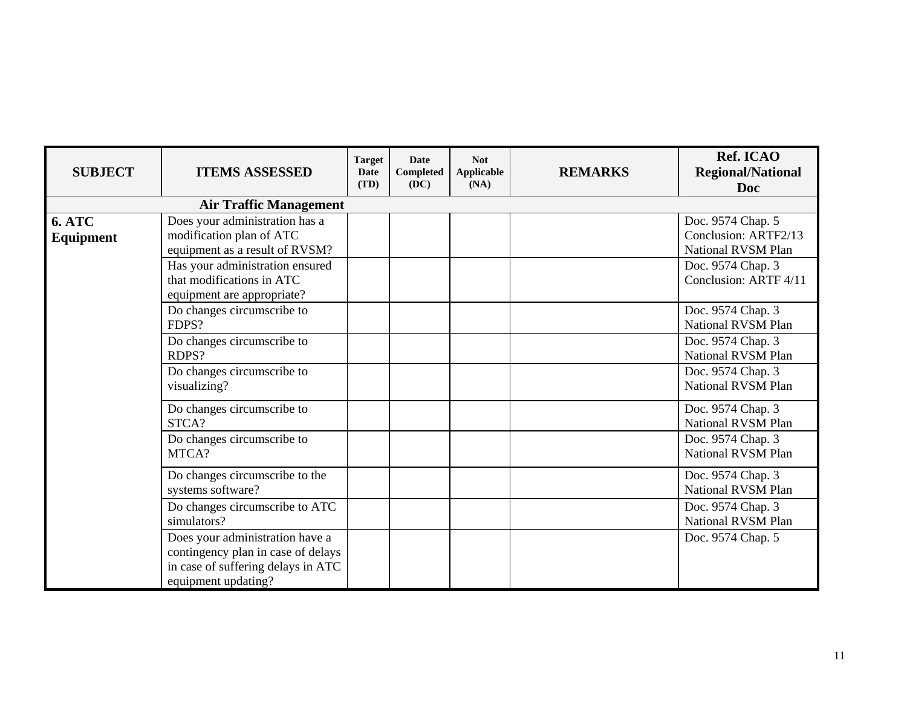| <b>SUBJECT</b>             | <b>ITEMS ASSESSED</b>                                                                                                                                        | <b>Target</b><br><b>Date</b><br>(TD) | Date<br><b>Completed</b><br>(DC) | <b>Not</b><br><b>Applicable</b><br>(NA) | <b>REMARKS</b> | Ref. ICAO<br><b>Regional/National</b><br><b>Doc</b>                                                           |
|----------------------------|--------------------------------------------------------------------------------------------------------------------------------------------------------------|--------------------------------------|----------------------------------|-----------------------------------------|----------------|---------------------------------------------------------------------------------------------------------------|
|                            | <b>Air Traffic Management</b>                                                                                                                                |                                      |                                  |                                         |                |                                                                                                               |
| <b>6. ATC</b><br>Equipment | Does your administration has a<br>modification plan of ATC<br>equipment as a result of RVSM?<br>Has your administration ensured<br>that modifications in ATC |                                      |                                  |                                         |                | Doc. 9574 Chap. 5<br>Conclusion: ARTF2/13<br>National RVSM Plan<br>Doc. 9574 Chap. 3<br>Conclusion: ARTF 4/11 |
|                            | equipment are appropriate?<br>$\overline{Do}$ changes circumscribe to                                                                                        |                                      |                                  |                                         |                | Doc. 9574 Chap. 3                                                                                             |
|                            | FDPS?                                                                                                                                                        |                                      |                                  |                                         |                | National RVSM Plan                                                                                            |
|                            | Do changes circumscribe to<br>RDPS?                                                                                                                          |                                      |                                  |                                         |                | Doc. 9574 Chap. 3<br>National RVSM Plan                                                                       |
|                            | Do changes circumscribe to<br>visualizing?                                                                                                                   |                                      |                                  |                                         |                | Doc. 9574 Chap. 3<br>National RVSM Plan                                                                       |
|                            | Do changes circumscribe to<br>STCA?                                                                                                                          |                                      |                                  |                                         |                | Doc. 9574 Chap. 3<br>National RVSM Plan                                                                       |
|                            | Do changes circumscribe to<br>MTCA?                                                                                                                          |                                      |                                  |                                         |                | Doc. 9574 Chap. 3<br><b>National RVSM Plan</b>                                                                |
|                            | Do changes circumscribe to the<br>systems software?                                                                                                          |                                      |                                  |                                         |                | Doc. 9574 Chap. 3<br>National RVSM Plan                                                                       |
|                            | Do changes circumscribe to ATC<br>simulators?                                                                                                                |                                      |                                  |                                         |                | Doc. 9574 Chap. 3<br>National RVSM Plan                                                                       |
|                            | Does your administration have a<br>contingency plan in case of delays<br>in case of suffering delays in ATC<br>equipment updating?                           |                                      |                                  |                                         |                | Doc. 9574 Chap. 5                                                                                             |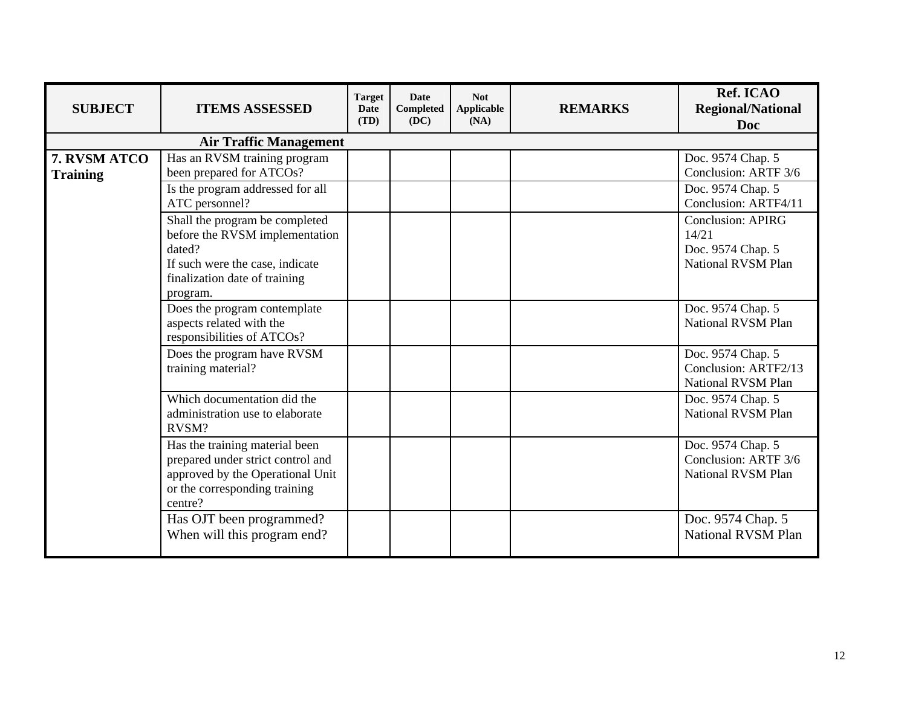| <b>SUBJECT</b>                  | <b>ITEMS ASSESSED</b>                                                                                                                                      | <b>Target</b><br><b>Date</b><br>(TD) | <b>Date</b><br><b>Completed</b><br>(DC) | <b>Not</b><br>Applicable<br>(NA) | <b>REMARKS</b> | Ref. ICAO<br><b>Regional/National</b><br>Doc                                        |  |  |  |  |  |
|---------------------------------|------------------------------------------------------------------------------------------------------------------------------------------------------------|--------------------------------------|-----------------------------------------|----------------------------------|----------------|-------------------------------------------------------------------------------------|--|--|--|--|--|
|                                 | <b>Air Traffic Management</b>                                                                                                                              |                                      |                                         |                                  |                |                                                                                     |  |  |  |  |  |
| 7. RVSM ATCO<br><b>Training</b> | Has an RVSM training program<br>been prepared for ATCOs?                                                                                                   |                                      |                                         |                                  |                | Doc. 9574 Chap. 5<br>Conclusion: ARTF 3/6                                           |  |  |  |  |  |
|                                 | Is the program addressed for all<br>ATC personnel?                                                                                                         |                                      |                                         |                                  |                | Doc. 9574 Chap. 5<br>Conclusion: ARTF4/11                                           |  |  |  |  |  |
|                                 | Shall the program be completed<br>before the RVSM implementation<br>dated?<br>If such were the case, indicate<br>finalization date of training<br>program. |                                      |                                         |                                  |                | <b>Conclusion: APIRG</b><br>14/21<br>Doc. 9574 Chap. 5<br><b>National RVSM Plan</b> |  |  |  |  |  |
|                                 | Does the program contemplate<br>aspects related with the<br>responsibilities of ATCOs?                                                                     |                                      |                                         |                                  |                | Doc. 9574 Chap. 5<br>National RVSM Plan                                             |  |  |  |  |  |
|                                 | Does the program have RVSM<br>training material?                                                                                                           |                                      |                                         |                                  |                | Doc. 9574 Chap. 5<br>Conclusion: ARTF2/13<br>National RVSM Plan                     |  |  |  |  |  |
|                                 | Which documentation did the<br>administration use to elaborate<br>RVSM?                                                                                    |                                      |                                         |                                  |                | Doc. 9574 Chap. 5<br><b>National RVSM Plan</b>                                      |  |  |  |  |  |
|                                 | Has the training material been<br>prepared under strict control and<br>approved by the Operational Unit<br>or the corresponding training<br>centre?        |                                      |                                         |                                  |                | Doc. 9574 Chap. 5<br>Conclusion: ARTF 3/6<br>National RVSM Plan                     |  |  |  |  |  |
|                                 | Has OJT been programmed?<br>When will this program end?                                                                                                    |                                      |                                         |                                  |                | Doc. 9574 Chap. 5<br><b>National RVSM Plan</b>                                      |  |  |  |  |  |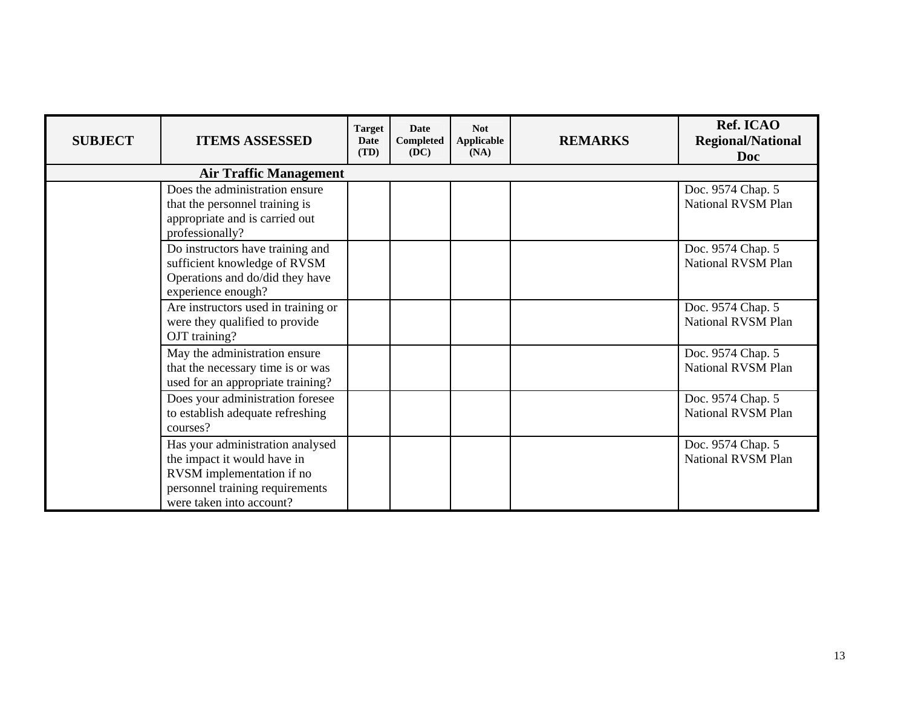| <b>SUBJECT</b> | <b>ITEMS ASSESSED</b>                                                                                                                                       | <b>Target</b><br><b>Date</b><br>(TD) | Date<br>Completed<br>(DC) | <b>Not</b><br><b>Applicable</b><br>(NA) | <b>REMARKS</b> | Ref. ICAO<br><b>Regional/National</b><br>Doc   |
|----------------|-------------------------------------------------------------------------------------------------------------------------------------------------------------|--------------------------------------|---------------------------|-----------------------------------------|----------------|------------------------------------------------|
|                | <b>Air Traffic Management</b>                                                                                                                               |                                      |                           |                                         |                |                                                |
|                | Does the administration ensure<br>that the personnel training is<br>appropriate and is carried out<br>professionally?                                       |                                      |                           |                                         |                | Doc. 9574 Chap. 5<br>National RVSM Plan        |
|                | Do instructors have training and<br>sufficient knowledge of RVSM<br>Operations and do/did they have<br>experience enough?                                   |                                      |                           |                                         |                | Doc. 9574 Chap. 5<br><b>National RVSM Plan</b> |
|                | Are instructors used in training or<br>were they qualified to provide<br>OJT training?                                                                      |                                      |                           |                                         |                | Doc. 9574 Chap. 5<br>National RVSM Plan        |
|                | May the administration ensure<br>that the necessary time is or was<br>used for an appropriate training?                                                     |                                      |                           |                                         |                | Doc. 9574 Chap. 5<br>National RVSM Plan        |
|                | Does your administration foresee<br>to establish adequate refreshing<br>courses?                                                                            |                                      |                           |                                         |                | Doc. 9574 Chap. 5<br>National RVSM Plan        |
|                | Has your administration analysed<br>the impact it would have in<br>RVSM implementation if no<br>personnel training requirements<br>were taken into account? |                                      |                           |                                         |                | Doc. 9574 Chap. 5<br><b>National RVSM Plan</b> |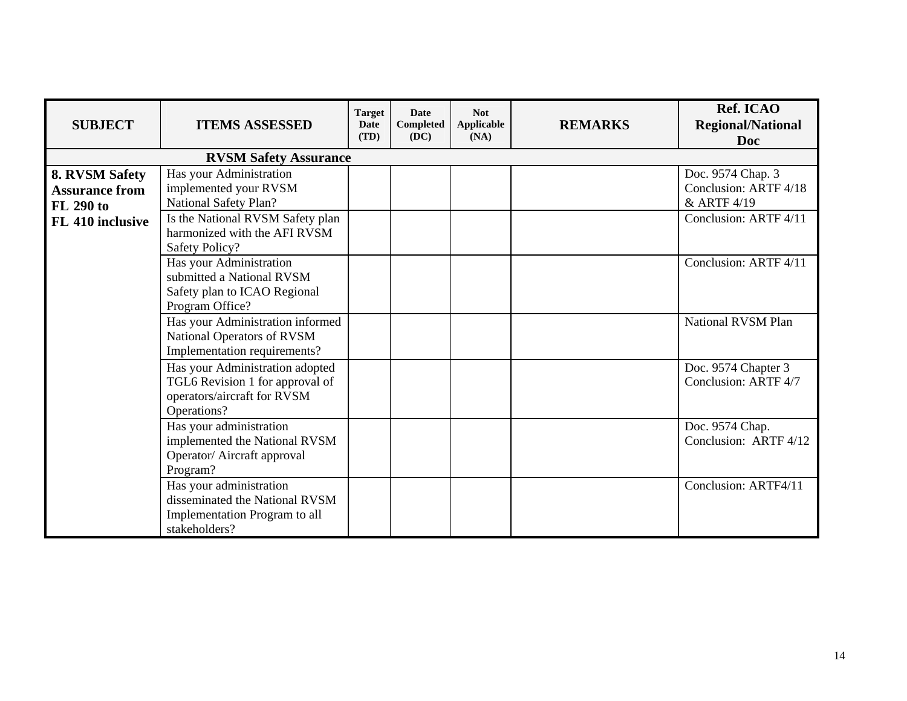| <b>SUBJECT</b>                                                                  | <b>ITEMS ASSESSED</b>                                                                                                                                                  | <b>Target</b><br>Date<br>(TD) | <b>Date</b><br>Completed<br>(DC) | <b>Not</b><br>Applicable<br>(NA) | <b>REMARKS</b> | Ref. ICAO<br><b>Regional/National</b><br><b>Doc</b>                                |
|---------------------------------------------------------------------------------|------------------------------------------------------------------------------------------------------------------------------------------------------------------------|-------------------------------|----------------------------------|----------------------------------|----------------|------------------------------------------------------------------------------------|
|                                                                                 | <b>RVSM Safety Assurance</b>                                                                                                                                           |                               |                                  |                                  |                |                                                                                    |
| 8. RVSM Safety<br><b>Assurance from</b><br><b>FL 290 to</b><br>FL 410 inclusive | Has your Administration<br>implemented your RVSM<br>National Safety Plan?<br>Is the National RVSM Safety plan<br>harmonized with the AFI RVSM<br><b>Safety Policy?</b> |                               |                                  |                                  |                | Doc. 9574 Chap. 3<br>Conclusion: ARTF 4/18<br>& ARTF 4/19<br>Conclusion: ARTF 4/11 |
|                                                                                 | Has your Administration<br>submitted a National RVSM<br>Safety plan to ICAO Regional<br>Program Office?                                                                |                               |                                  |                                  |                | Conclusion: ARTF 4/11                                                              |
|                                                                                 | Has your Administration informed<br>National Operators of RVSM<br>Implementation requirements?                                                                         |                               |                                  |                                  |                | National RVSM Plan                                                                 |
|                                                                                 | Has your Administration adopted<br>TGL6 Revision 1 for approval of<br>operators/aircraft for RVSM<br>Operations?                                                       |                               |                                  |                                  |                | Doc. 9574 Chapter 3<br>Conclusion: ARTF 4/7                                        |
|                                                                                 | Has your administration<br>implemented the National RVSM<br>Operator/ Aircraft approval<br>Program?                                                                    |                               |                                  |                                  |                | Doc. 9574 Chap.<br>Conclusion: ARTF 4/12                                           |
|                                                                                 | Has your administration<br>disseminated the National RVSM<br>Implementation Program to all<br>stakeholders?                                                            |                               |                                  |                                  |                | Conclusion: ARTF4/11                                                               |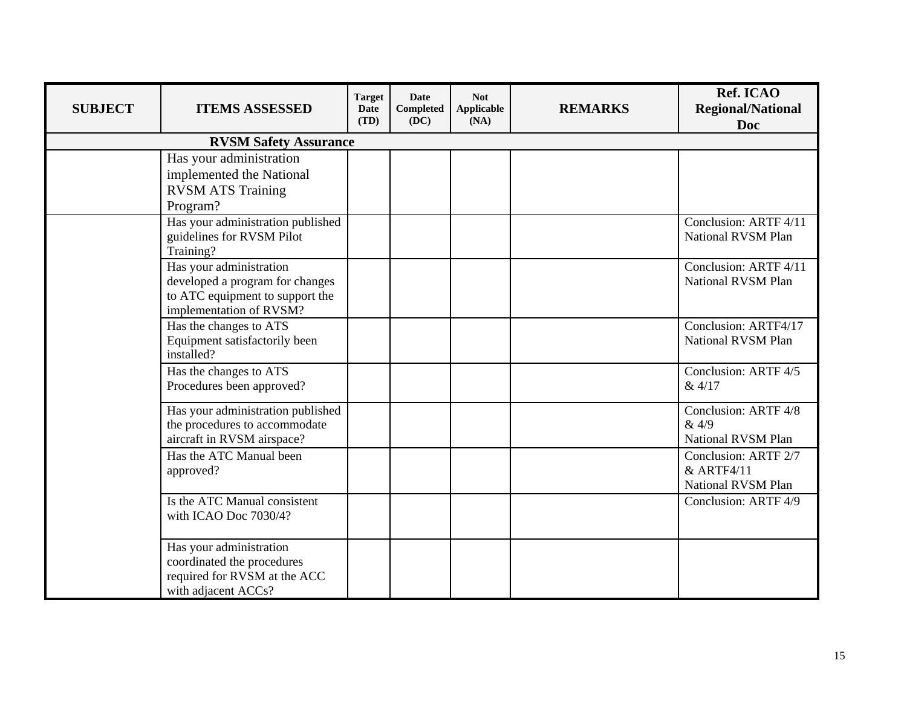| <b>SUBJECT</b> | <b>ITEMS ASSESSED</b>                                                                                                    | <b>Target</b><br><b>Date</b><br>(TD) | <b>Date</b><br><b>Completed</b><br>(DC) | <b>Not</b><br><b>Applicable</b><br>(NA) | <b>REMARKS</b> | Ref. ICAO<br><b>Regional/National</b><br>Doc             |
|----------------|--------------------------------------------------------------------------------------------------------------------------|--------------------------------------|-----------------------------------------|-----------------------------------------|----------------|----------------------------------------------------------|
|                | <b>RVSM Safety Assurance</b>                                                                                             |                                      |                                         |                                         |                |                                                          |
|                | Has your administration<br>implemented the National<br><b>RVSM ATS Training</b><br>Program?                              |                                      |                                         |                                         |                |                                                          |
|                | Has your administration published<br>guidelines for RVSM Pilot<br>Training?                                              |                                      |                                         |                                         |                | Conclusion: ARTF 4/11<br><b>National RVSM Plan</b>       |
|                | Has your administration<br>developed a program for changes<br>to ATC equipment to support the<br>implementation of RVSM? |                                      |                                         |                                         |                | Conclusion: ARTF 4/11<br>National RVSM Plan              |
|                | Has the changes to ATS<br>Equipment satisfactorily been<br>installed?                                                    |                                      |                                         |                                         |                | Conclusion: ARTF4/17<br>National RVSM Plan               |
|                | Has the changes to ATS<br>Procedures been approved?                                                                      |                                      |                                         |                                         |                | Conclusion: ARTF 4/5<br>& 4/17                           |
|                | Has your administration published<br>the procedures to accommodate<br>aircraft in RVSM airspace?                         |                                      |                                         |                                         |                | Conclusion: ARTF 4/8<br>& 4/9<br>National RVSM Plan      |
|                | Has the ATC Manual been<br>approved?                                                                                     |                                      |                                         |                                         |                | Conclusion: ARTF 2/7<br>& ARTF4/11<br>National RVSM Plan |
|                | Is the ATC Manual consistent<br>with ICAO Doc 7030/4?                                                                    |                                      |                                         |                                         |                | Conclusion: ARTF 4/9                                     |
|                | Has your administration<br>coordinated the procedures<br>required for RVSM at the ACC<br>with adjacent ACCs?             |                                      |                                         |                                         |                |                                                          |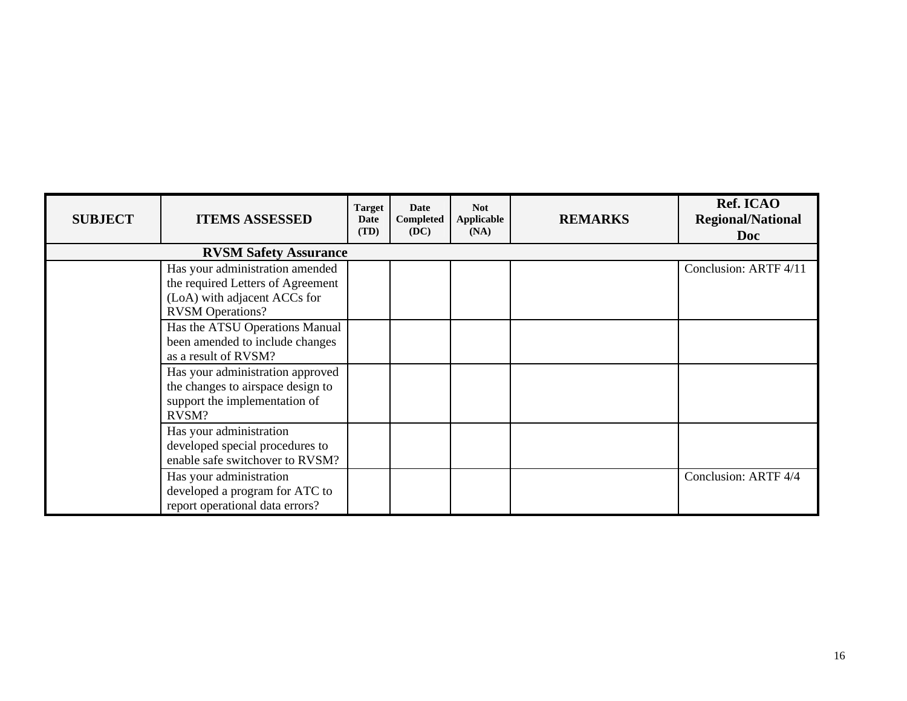| <b>SUBJECT</b> | <b>ITEMS ASSESSED</b>                                                                                                           | <b>Target</b><br>Date<br>(TD) | Date<br>Completed<br>(DC) | <b>Not</b><br>Applicable<br>(NA) | <b>REMARKS</b> | Ref. ICAO<br><b>Regional/National</b><br><b>Doc</b> |
|----------------|---------------------------------------------------------------------------------------------------------------------------------|-------------------------------|---------------------------|----------------------------------|----------------|-----------------------------------------------------|
|                | <b>RVSM Safety Assurance</b>                                                                                                    |                               |                           |                                  |                |                                                     |
|                | Has your administration amended<br>the required Letters of Agreement<br>(LoA) with adjacent ACCs for<br><b>RVSM</b> Operations? |                               |                           |                                  |                | Conclusion: ARTF 4/11                               |
|                | Has the ATSU Operations Manual<br>been amended to include changes<br>as a result of RVSM?                                       |                               |                           |                                  |                |                                                     |
|                | Has your administration approved<br>the changes to airspace design to<br>support the implementation of<br>RVSM?                 |                               |                           |                                  |                |                                                     |
|                | Has your administration<br>developed special procedures to<br>enable safe switchover to RVSM?                                   |                               |                           |                                  |                |                                                     |
|                | Has your administration<br>developed a program for ATC to<br>report operational data errors?                                    |                               |                           |                                  |                | Conclusion: ARTF 4/4                                |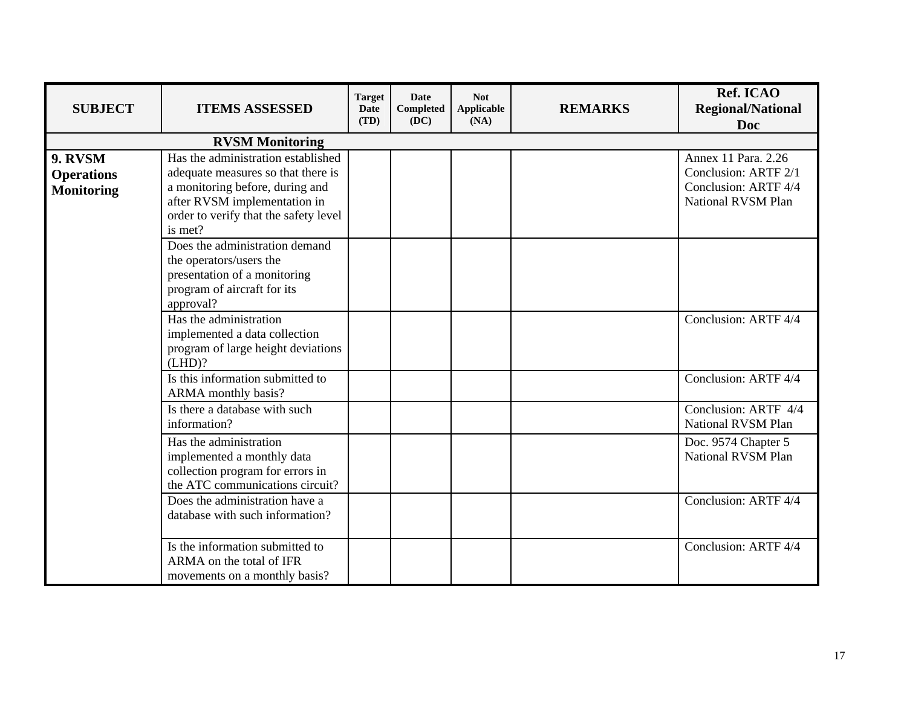| <b>SUBJECT</b>                                    | <b>ITEMS ASSESSED</b>                                                                                                                                                                           | <b>Target</b><br><b>Date</b><br>(TD) | <b>Date</b><br><b>Completed</b><br>(DC) | <b>Not</b><br>Applicable<br>(NA) | <b>REMARKS</b> | Ref. ICAO<br><b>Regional/National</b><br><b>Doc</b>                                       |
|---------------------------------------------------|-------------------------------------------------------------------------------------------------------------------------------------------------------------------------------------------------|--------------------------------------|-----------------------------------------|----------------------------------|----------------|-------------------------------------------------------------------------------------------|
|                                                   | <b>RVSM Monitoring</b>                                                                                                                                                                          |                                      |                                         |                                  |                |                                                                                           |
| 9. RVSM<br><b>Operations</b><br><b>Monitoring</b> | Has the administration established<br>adequate measures so that there is<br>a monitoring before, during and<br>after RVSM implementation in<br>order to verify that the safety level<br>is met? |                                      |                                         |                                  |                | Annex 11 Para. 2.26<br>Conclusion: ARTF 2/1<br>Conclusion: ARTF 4/4<br>National RVSM Plan |
|                                                   | Does the administration demand<br>the operators/users the<br>presentation of a monitoring<br>program of aircraft for its<br>approval?                                                           |                                      |                                         |                                  |                |                                                                                           |
|                                                   | Has the administration<br>implemented a data collection<br>program of large height deviations<br>(LHD)?                                                                                         |                                      |                                         |                                  |                | Conclusion: ARTF 4/4                                                                      |
|                                                   | Is this information submitted to<br>ARMA monthly basis?                                                                                                                                         |                                      |                                         |                                  |                | Conclusion: ARTF 4/4                                                                      |
|                                                   | Is there a database with such<br>information?                                                                                                                                                   |                                      |                                         |                                  |                | Conclusion: ARTF 4/4<br>National RVSM Plan                                                |
|                                                   | Has the administration<br>implemented a monthly data<br>collection program for errors in<br>the ATC communications circuit?                                                                     |                                      |                                         |                                  |                | Doc. 9574 Chapter 5<br>National RVSM Plan                                                 |
|                                                   | Does the administration have a<br>database with such information?                                                                                                                               |                                      |                                         |                                  |                | Conclusion: ARTF 4/4                                                                      |
|                                                   | Is the information submitted to<br>ARMA on the total of IFR<br>movements on a monthly basis?                                                                                                    |                                      |                                         |                                  |                | Conclusion: ARTF 4/4                                                                      |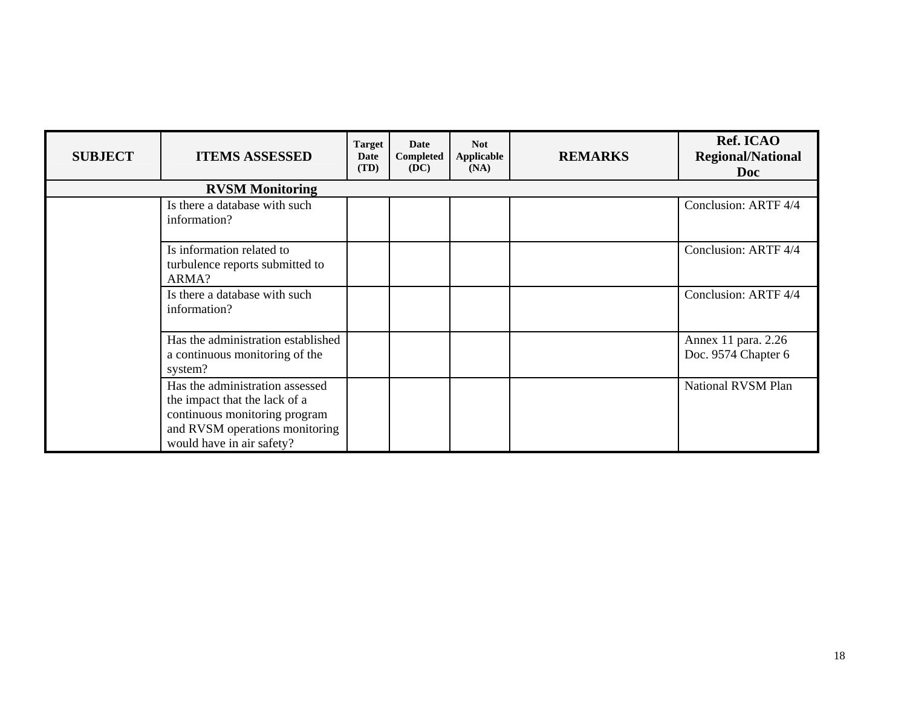| <b>SUBJECT</b> | <b>ITEMS ASSESSED</b>                                                                                                                                            | <b>Target</b><br>Date<br>(TD) | Date<br>Completed<br>(DC) | <b>Not</b><br><b>Applicable</b><br>(NA) | <b>REMARKS</b> | Ref. ICAO<br><b>Regional/National</b><br><b>Doc</b> |
|----------------|------------------------------------------------------------------------------------------------------------------------------------------------------------------|-------------------------------|---------------------------|-----------------------------------------|----------------|-----------------------------------------------------|
|                | <b>RVSM Monitoring</b>                                                                                                                                           |                               |                           |                                         |                |                                                     |
|                | Is there a database with such<br>information?                                                                                                                    |                               |                           |                                         |                | Conclusion: ARTF 4/4                                |
|                | Is information related to<br>turbulence reports submitted to<br>ARMA?                                                                                            |                               |                           |                                         |                | Conclusion: ARTF 4/4                                |
|                | Is there a database with such<br>information?                                                                                                                    |                               |                           |                                         |                | Conclusion: ARTF 4/4                                |
|                | Has the administration established<br>a continuous monitoring of the<br>system?                                                                                  |                               |                           |                                         |                | Annex 11 para. 2.26<br>Doc. 9574 Chapter 6          |
|                | Has the administration assessed<br>the impact that the lack of a<br>continuous monitoring program<br>and RVSM operations monitoring<br>would have in air safety? |                               |                           |                                         |                | National RVSM Plan                                  |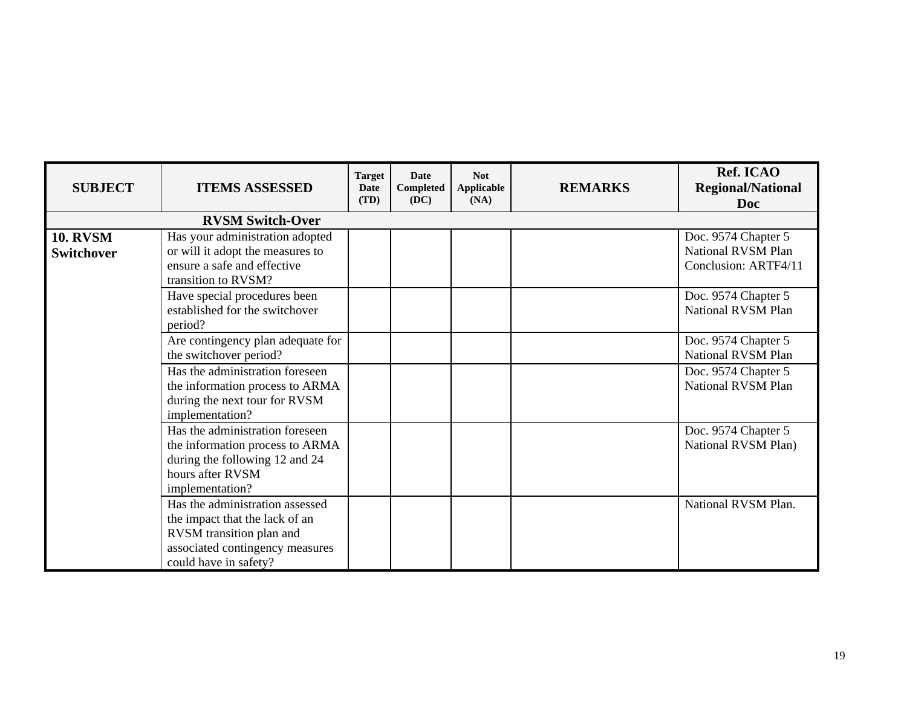| <b>SUBJECT</b>                       | <b>ITEMS ASSESSED</b>                                                                                                                                     | <b>Target</b><br>Date<br>(TD) | <b>Date</b><br>Completed<br>(DC) | <b>Not</b><br>Applicable<br>(NA) | <b>REMARKS</b> | Ref. ICAO<br><b>Regional/National</b><br><b>Doc</b>                      |
|--------------------------------------|-----------------------------------------------------------------------------------------------------------------------------------------------------------|-------------------------------|----------------------------------|----------------------------------|----------------|--------------------------------------------------------------------------|
|                                      | <b>RVSM Switch-Over</b>                                                                                                                                   |                               |                                  |                                  |                |                                                                          |
| <b>10. RVSM</b><br><b>Switchover</b> | Has your administration adopted<br>or will it adopt the measures to<br>ensure a safe and effective<br>transition to RVSM?                                 |                               |                                  |                                  |                | Doc. 9574 Chapter 5<br><b>National RVSM Plan</b><br>Conclusion: ARTF4/11 |
|                                      | Have special procedures been<br>established for the switchover<br>period?                                                                                 |                               |                                  |                                  |                | Doc. 9574 Chapter 5<br>National RVSM Plan                                |
|                                      | Are contingency plan adequate for<br>the switchover period?                                                                                               |                               |                                  |                                  |                | Doc. 9574 Chapter 5<br>National RVSM Plan                                |
|                                      | Has the administration foreseen<br>the information process to ARMA<br>during the next tour for RVSM<br>implementation?                                    |                               |                                  |                                  |                | Doc. 9574 Chapter 5<br>National RVSM Plan                                |
|                                      | Has the administration foreseen<br>the information process to ARMA<br>during the following 12 and 24<br>hours after RVSM<br>implementation?               |                               |                                  |                                  |                | Doc. 9574 Chapter 5<br>National RVSM Plan)                               |
|                                      | Has the administration assessed<br>the impact that the lack of an<br>RVSM transition plan and<br>associated contingency measures<br>could have in safety? |                               |                                  |                                  |                | National RVSM Plan.                                                      |